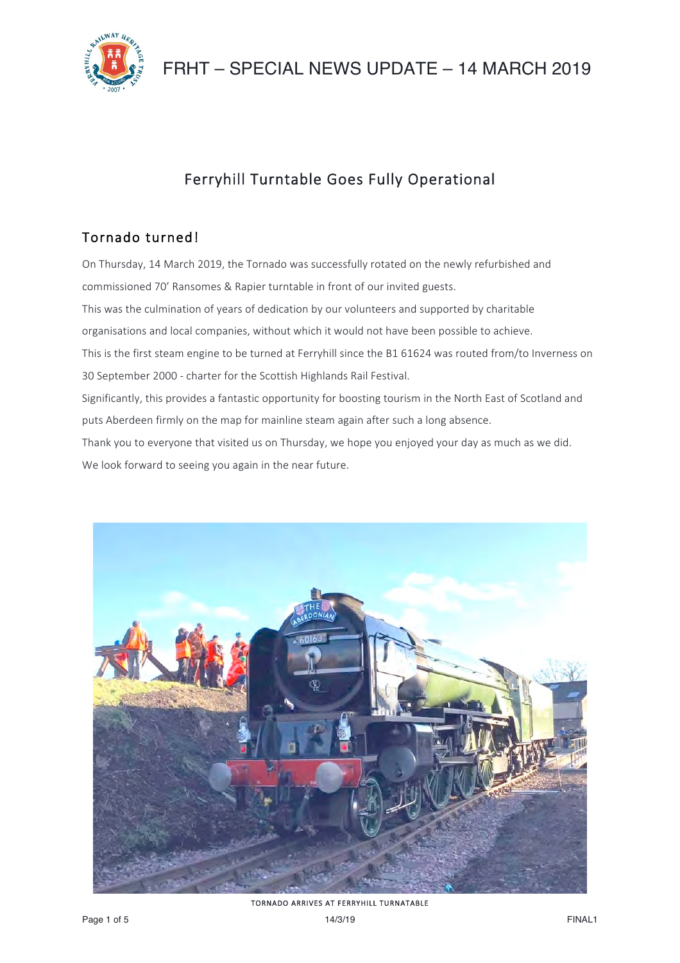

## Ferryhill Turntable Goes Fully Operational

## Tornado turned!

On Thursday, 14 March 2019, the Tornado was successfully rotated on the newly refurbished and commissioned 70' Ransomes & Rapier turntable in front of our invited guests. This was the culmination of years of dedication by our volunteers and supported by charitable organisations and local companies, without which it would not have been possible to achieve. This is the first steam engine to be turned at Ferryhill since the B1 61624 was routed from/to Inverness on 30 September 2000 - charter for the Scottish Highlands Rail Festival. Significantly, this provides a fantastic opportunity for boosting tourism in the North East of Scotland and puts Aberdeen firmly on the map for mainline steam again after such a long absence. Thank you to everyone that visited us on Thursday, we hope you enjoyed your day as much as we did. We look forward to seeing you again in the near future.



TORNADO ARRIVES AT FERRYHILL TURNATABLE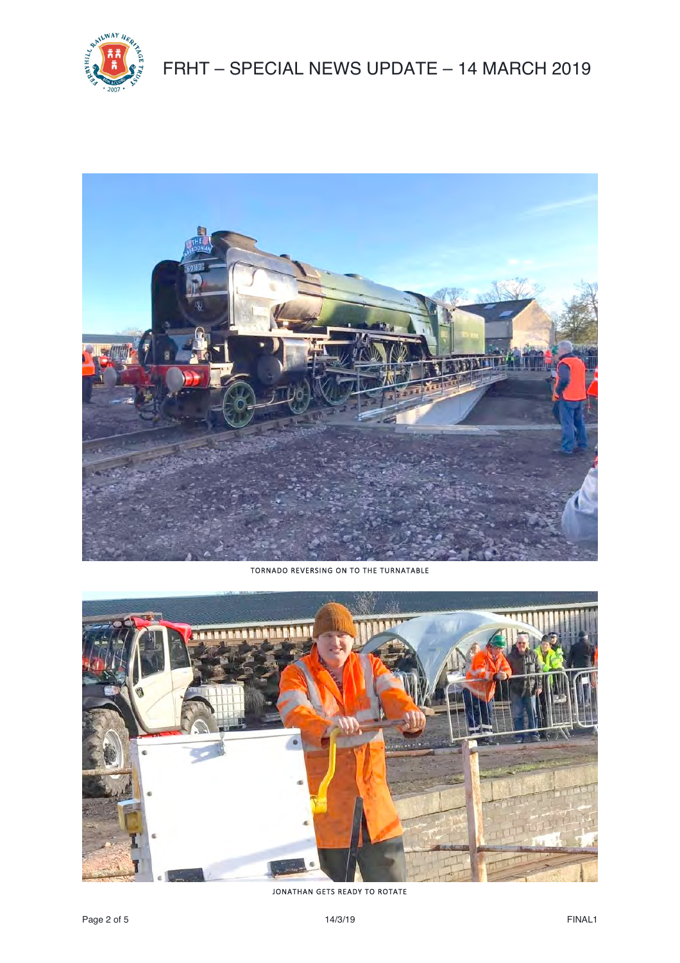



TORNADO REVERSING ON TO THE TURNATABLE



JONATHAN GETS READY TO ROTATE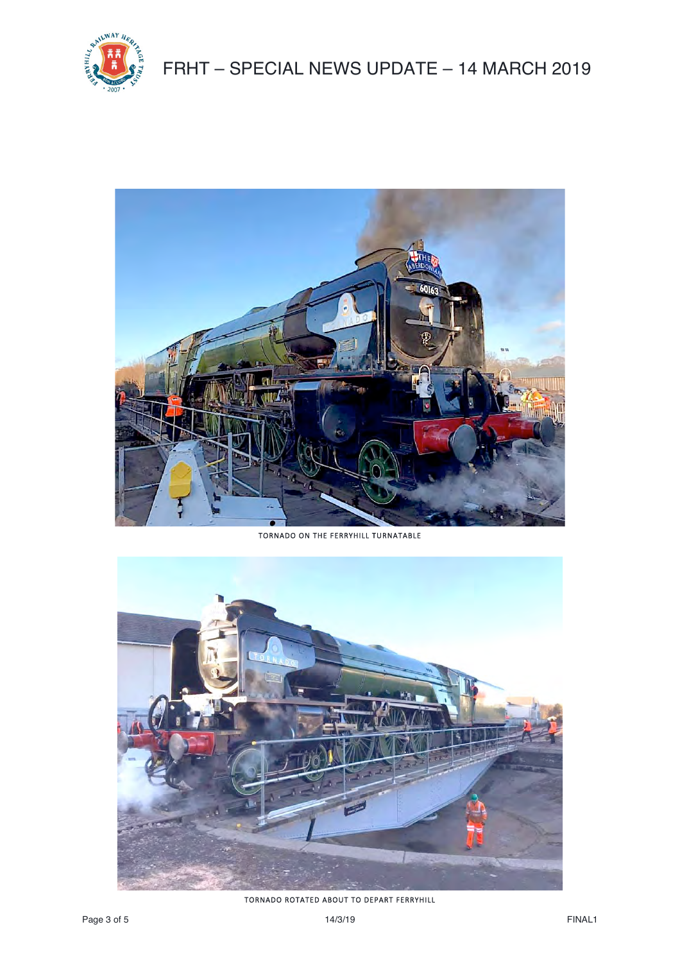



TORNADO ON THE FERRYHILL TURNATABLE



TORNADO ROTATED ABOUT TO DEPART FERRYHILL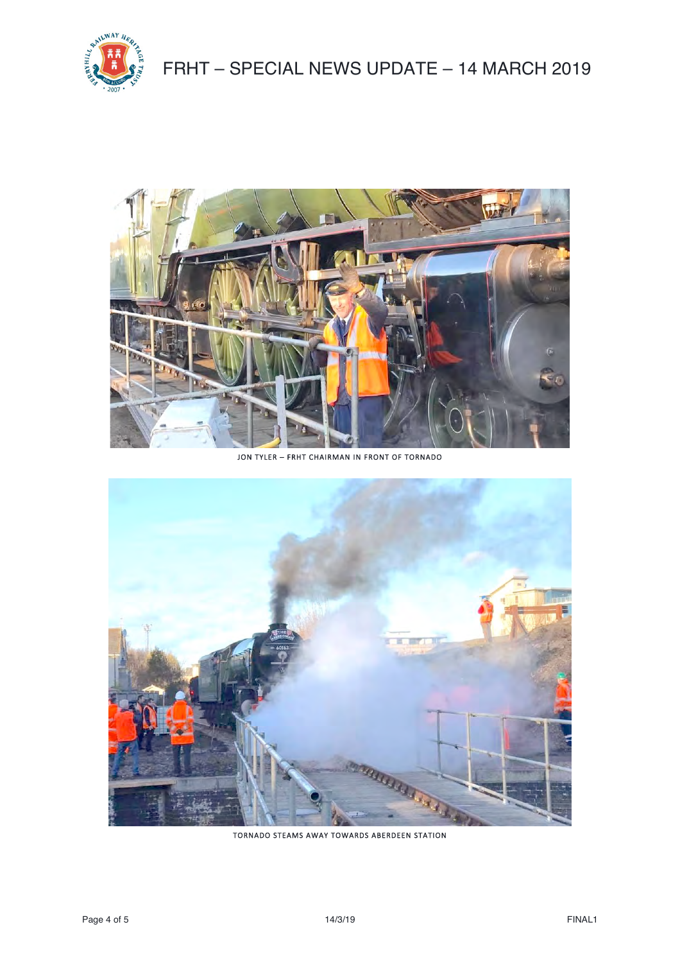



JON TYLER – FRHT CHAIRMAN IN FRONT OF TORNADO



TORNADO STEAMS AWAY TOWARDS ABERDEEN STATION